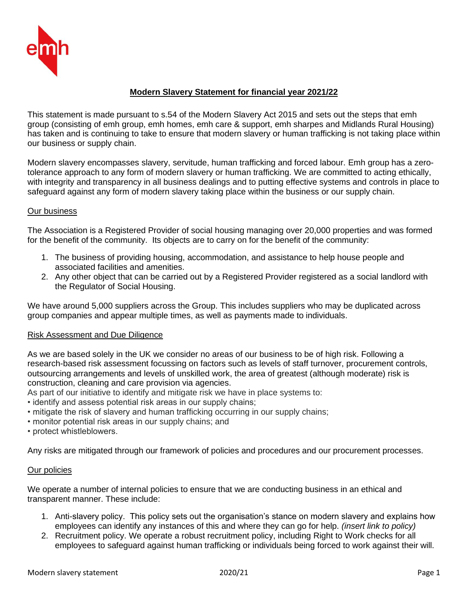

# **Modern Slavery Statement for financial year 2021/22**

This statement is made pursuant to s.54 of the Modern Slavery Act 2015 and sets out the steps that emh group (consisting of emh group, emh homes, emh care & support, emh sharpes and Midlands Rural Housing) has taken and is continuing to take to ensure that modern slavery or human trafficking is not taking place within our business or supply chain.

Modern slavery encompasses slavery, servitude, human trafficking and forced labour. Emh group has a zerotolerance approach to any form of modern slavery or human trafficking. We are committed to acting ethically, with integrity and transparency in all business dealings and to putting effective systems and controls in place to safeguard against any form of modern slavery taking place within the business or our supply chain.

## Our business

The Association is a Registered Provider of social housing managing over 20,000 properties and was formed for the benefit of the community. Its objects are to carry on for the benefit of the community:

- 1. The business of providing housing, accommodation, and assistance to help house people and associated facilities and amenities.
- 2. Any other object that can be carried out by a Registered Provider registered as a social landlord with the Regulator of Social Housing.

We have around 5,000 suppliers across the Group. This includes suppliers who may be duplicated across group companies and appear multiple times, as well as payments made to individuals.

#### Risk Assessment and Due Diligence

As we are based solely in the UK we consider no areas of our business to be of high risk. Following a research-based risk assessment focussing on factors such as levels of staff turnover, procurement controls, outsourcing arrangements and levels of unskilled work, the area of greatest (although moderate) risk is construction, cleaning and care provision via agencies.

As part of our initiative to identify and mitigate risk we have in place systems to:

- identify and assess potential risk areas in our supply chains;
- mitigate the risk of slavery and human trafficking occurring in our supply chains;
- monitor potential risk areas in our supply chains; and
- protect whistleblowers.

Any risks are mitigated through our framework of policies and procedures and our procurement processes.

#### Our policies

We operate a number of internal policies to ensure that we are conducting business in an ethical and transparent manner. These include:

- 1. Anti-slavery policy. This policy sets out the organisation's stance on modern slavery and explains how employees can identify any instances of this and where they can go for help. *(insert link to policy)*
- 2. Recruitment policy. We operate a robust recruitment policy, including Right to Work checks for all employees to safeguard against human trafficking or individuals being forced to work against their will.